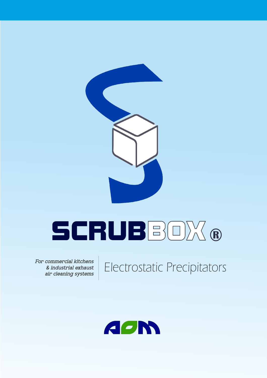

# SCRUBBOX **®**

**For commercial kitchens & industrial exhaust**

**air cleaning systems** Electrostatic Precipitators

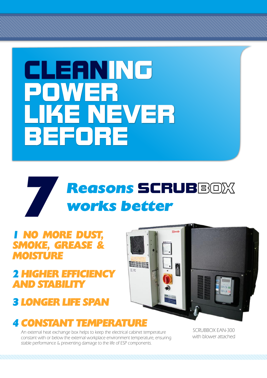

## *7 Reasons* SCRUBBOX *works better*

### *1 NO MORE DUST, SMOKE, GREASE & MOISTURE*

### *2 HIGHER EFFICIENCY AND STABILITY*

*3 LONGER LIFE SPAN*



### *4 CONSTANT TEMPERATURE*

An external heat exchange box helps to keep the electrical cabinet temperature constant with or below the external workplace environment temperature, ensuring stable performance & preventing damage to the life of ESP components.

SCRUBBOX EAN-300 with blower attached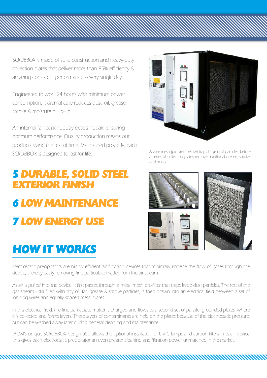SCRUBBOX is made of solid construction and heavy-duty collection plates that deliver more than 95% efficiency & amazing consistent performance - every single day.

Engineered to work 24 hours with minimum power consumption, it dramatically reduces dust, oil, grease, smoke & moisture build-up.

An internal fan continuously expels hot air, ensuring optimum performance. Quality production means our products stand the test of time. Maintained properly, each SCRUBBOX is designed to last for life.

## *5 DURABLE, SOLID STEEL EXTERIOR FINISH 6 LOW MAINTENANCE 7 LOW ENERGY USE*

## *HOW IT WORKS*



A wire-mesh (pictured below) traps large dust particles, before a series of collection plates remove additional grease, smoke, and odors.



Electrostatic precipitators are highly efficient air filtration devices that minimally impede the flow of gases through the device, thereby easily removing fine particulate matter from the air stream.

As air is pulled into the device, it first passes through a metal mesh pre-filter that traps large dust particles. The rest of the gas stream - still filled with tiny oil, fat, grease & smoke particles, is then drawn into an electrical field between a set of ionizing wires and equally-spaced metal plates.

In this electrical field, the fine particulate matter is charged and flows to a second set of parallel grounded plates, where it is collected and forms layers. These layers of contaminants are held on the plates because of the electrostatic pressure, but can be washed away later during general cleaning and maintenance.

AOM's unique SCRUBBOX design also allows the optional installation of UV-C lamps and carbon filters in each device this gives each electrostatic precipitator an even greater cleaning and filtration power unmatched in the market.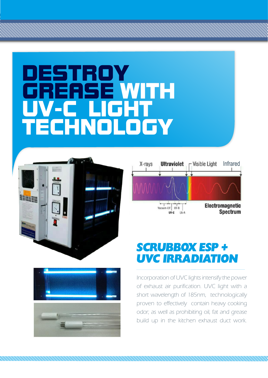## DESTROY <u>GREASE WITH</u> UV-C LIGHT TECHNOLOGY







## *SCRUBBOX ESP + UVC IRRADIATION*

Incorporation of UVC lights intensify the power of exhaust air purification. UVC light with a short wavelength of 185nm, technologically proven to effectively contain heavy cooking odor; as well as prohibiting oil, fat and grease build up in the kitchen exhaust duct work.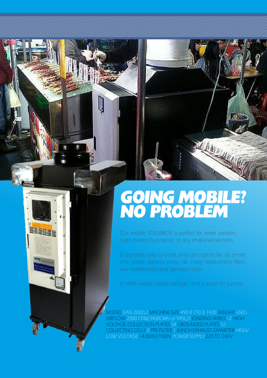## *GOING MOBILE? NO PROBLEM*

Our mobile SCRUBBOX is perfect for street vendors, night market food stands, or any small-scale kitchens.

 $\epsilon$ 

NEW YORK

It's portable, easy to install, and can capture fat, oil, smoke and grease particles easily. No costly replacement filters, low maintenance and operation costs.

In other words, a total package - and a recipe for success.

MODEL EAN 2002L2 MACHINE SIZE 490 X 770 X 1430 WEIGHT 65KG AIRFLOW 2000 CFM/3400CMH or 945L/S IONIZING WIRES 12 HIGH VOLTAGE COLLECTION PLATES 54 GROUNDED PLATES 52 COLLECTING CELLS 2 PRE-FILTER 1 8-INCH EXHAUST DIAMETER HIGH/ LOW VOLTAGE 14,000V/7000V POWER SUPPLY 220 TO 240V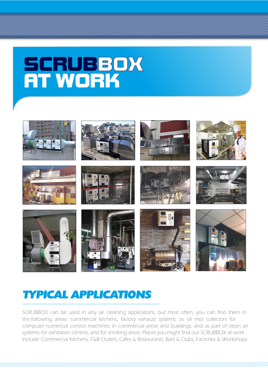## SCRUBBOX AT WORK



### *TYPICAL APPLICATIONS*

SCRUBBOX can be used in any air cleaning applications, but most often, you can find them in the following areas: commercial kitchens, factory exhaust systems; as oil mist collectors for computer numerical control machines, in commercial areas and buildings, and as part of clean air systems for exhibition centres, and for smoking areas. Places you might find our SCRUBBOX at work include: Commercial Kitchens, F&B Outlets, Cafes & Restaurants, Bars & Clubs, Factories & Workshops.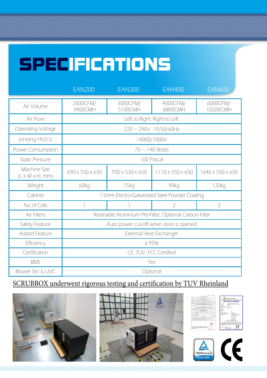## SPECIFICATIONS

|                                             | <b>EAN200</b>                                         | <b>EAN300</b>       | <b>EAN400</b>       | <b>EAN600</b>            |
|---------------------------------------------|-------------------------------------------------------|---------------------|---------------------|--------------------------|
| Air Volume                                  | 2000CFM/<br>3400CMH                                   | 3000CFM/<br>5100CMH | 4000CFM/<br>6800CMH | 6000CFM/<br>10200CMH     |
| Air Flow                                    | Left to Right; Right to Left                          |                     |                     |                          |
| Operating Voltage                           | 220 ~ 240V 1P/50/60Hz                                 |                     |                     |                          |
| Ionizing HV/LV                              | 14000/7000V                                           |                     |                     |                          |
| Power Consumption                           | 70 ~ 140 Watts                                        |                     |                     |                          |
| <b>Static Pressure</b>                      | 100 Pascal                                            |                     |                     |                          |
| Machine Size<br>$(L \times W \times H, mm)$ | 690 x 550 x 650                                       | 930 x 530 x 650     | 1170 x 550 x 650    | 1640 x 550 x 650         |
| Weight                                      | 60kg                                                  | 75kg                | 90kg                | 120kg                    |
| Cabinet                                     | 1.5mm Electro-Galvanised Steel Powder Coating         |                     |                     |                          |
| No of Cells                                 |                                                       |                     | $\overline{Z}$      | $\overline{\mathcal{E}}$ |
| Air Filters                                 | Washable Aluminium Pre-Filter, Optional Carbon Filter |                     |                     |                          |
| Safety Feature                              | Auto power cut-off when door is opened                |                     |                     |                          |
| <b>Added Feature</b>                        | External Heat Exchanger                               |                     |                     |                          |
| Efficiency                                  | $\geq 95%$                                            |                     |                     |                          |
| Certification                               | CE, TUV, FCC Certified                                |                     |                     |                          |
| <b>BMS</b>                                  | Yes                                                   |                     |                     |                          |
| Blower fan & UVC                            | Optional                                              |                     |                     |                          |

### SCRUBBOX underwent rigorous testing and certification by TUV Rheinland